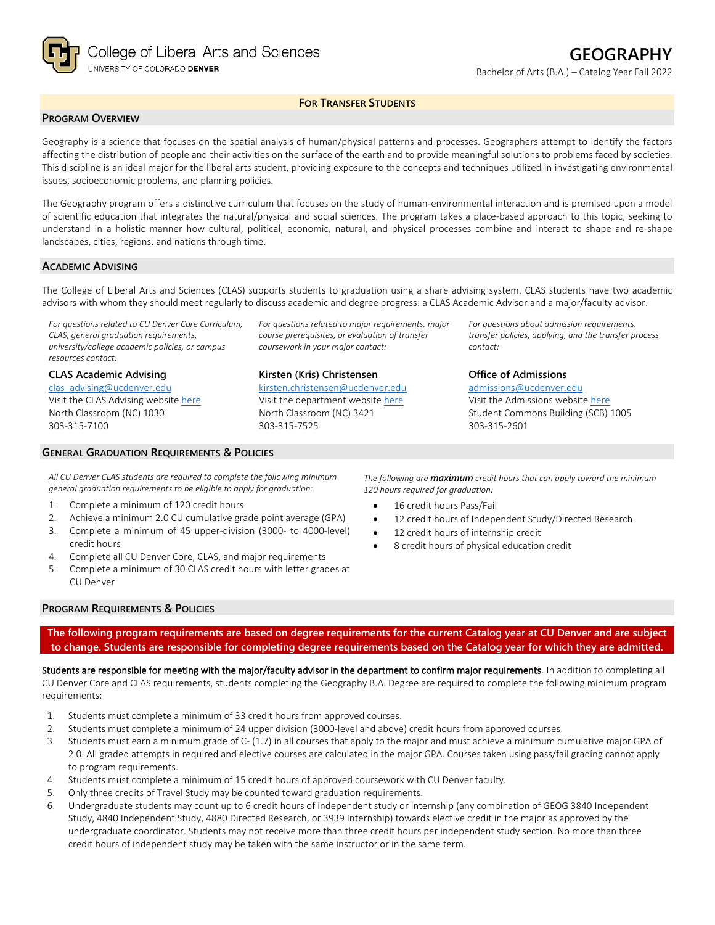

## **FOR TRANSFER STUDENTS**

# **PROGRAM OVERVIEW**

Geography is a science that focuses on the spatial analysis of human/physical patterns and processes. Geographers attempt to identify the factors affecting the distribution of people and their activities on the surface of the earth and to provide meaningful solutions to problems faced by societies. This discipline is an ideal major for the liberal arts student, providing exposure to the concepts and techniques utilized in investigating environmental issues, socioeconomic problems, and planning policies.

The Geography program offers a distinctive curriculum that focuses on the study of human-environmental interaction and is premised upon a model of scientific education that integrates the natural/physical and social sciences. The program takes a place-based approach to this topic, seeking to understand in a holistic manner how cultural, political, economic, natural, and physical processes combine and interact to shape and re-shape landscapes, cities, regions, and nations through time.

### **ACADEMIC ADVISING**

The College of Liberal Arts and Sciences (CLAS) supports students to graduation using a share advising system. CLAS students have two academic advisors with whom they should meet regularly to discuss academic and degree progress: a CLAS Academic Advisor and a major/faculty advisor.

*For questions related to CU Denver Core Curriculum, CLAS, general graduation requirements, university/college academic policies, or campus resources contact:*

**CLAS Academic Advising** [clas\\_advising@ucdenver.edu](mailto:clas_advising@ucdenver.edu)

Visit the CLAS Advising websit[e here](https://clas.ucdenver.edu/advising/) North Classroom (NC) 1030 303-315-7100

## **GENERAL GRADUATION REQUIREMENTS & POLICIES**

*For questions related to major requirements, major course prerequisites, or evaluation of transfer coursework in your major contact:*

#### **Kirsten (Kris) Christensen**

[kirsten.christensen@ucdenver.edu](mailto:kirsten.christensen@ucdenver.edu) Visit the department website [here](https://clas.ucdenver.edu/ges/) North Classroom (NC) 3421 303-315-7525

*For questions about admission requirements, transfer policies, applying, and the transfer process contact:*

**Office of Admissions** [admissions@ucdenver.edu](mailto:admissions@ucdenver.edu) Visit the Admissions website [here](http://www.ucdenver.edu/admissions/Pages/index.aspx) Student Commons Building (SCB) 1005 303-315-2601

*All CU Denver CLAS students are required to complete the following minimum general graduation requirements to be eligible to apply for graduation:*

- 1. Complete a minimum of 120 credit hours
- 2. Achieve a minimum 2.0 CU cumulative grade point average (GPA)
- 3. Complete a minimum of 45 upper-division (3000- to 4000-level) credit hours
- 4. Complete all CU Denver Core, CLAS, and major requirements
- 5. Complete a minimum of 30 CLAS credit hours with letter grades at CU Denver

*The following are maximum credit hours that can apply toward the minimum 120 hours required for graduation:*

- 16 credit hours Pass/Fail
- 12 credit hours of Independent Study/Directed Research
- 12 credit hours of internship credit
- 8 credit hours of physical education credit

### **PROGRAM REQUIREMENTS & POLICIES**

**The following program requirements are based on degree requirements for the current Catalog year at CU Denver and are subject to change. Students are responsible for completing degree requirements based on the Catalog year for which they are admitted.**

Students are responsible for meeting with the major/faculty advisor in the department to confirm major requirements. In addition to completing all CU Denver Core and CLAS requirements, students completing the Geography B.A. Degree are required to complete the following minimum program requirements:

- 1. Students must complete a minimum of 33 credit hours from approved courses.
- 2. Students must complete a minimum of 24 upper division (3000-level and above) credit hours from approved courses.
- 3. Students must earn a minimum grade of C- (1.7) in all courses that apply to the major and must achieve a minimum cumulative major GPA of 2.0. All graded attempts in required and elective courses are calculated in the major GPA. Courses taken using pass/fail grading cannot apply to program requirements.
- 4. Students must complete a minimum of 15 credit hours of approved coursework with CU Denver faculty.
- 5. Only three credits of Travel Study may be counted toward graduation requirements.
- 6. Undergraduate students may count up to 6 credit hours of independent study or internship (any combination of GEOG 3840 Independent Study, 4840 Independent Study, 4880 Directed Research, or 3939 Internship) towards elective credit in the major as approved by the undergraduate coordinator. Students may not receive more than three credit hours per independent study section. No more than three credit hours of independent study may be taken with the same instructor or in the same term.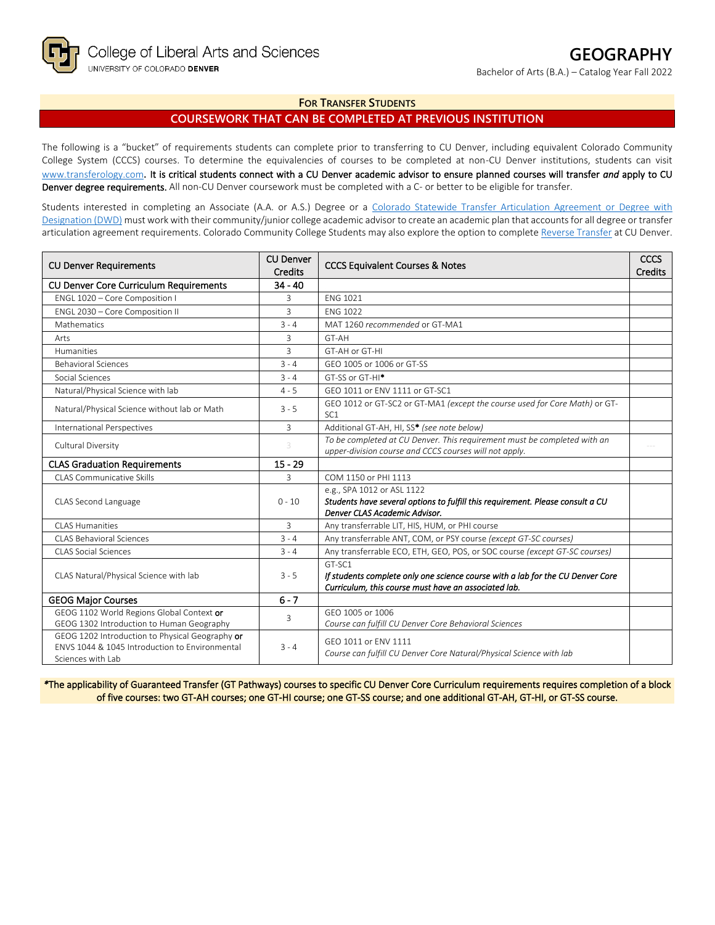### **FOR TRANSFER STUDENTS**

# **COURSEWORK THAT CAN BE COMPLETED AT PREVIOUS INSTITUTION**

The following is a "bucket" of requirements students can complete prior to transferring to CU Denver, including equivalent Colorado Community College System (CCCS) courses. To determine the equivalencies of courses to be completed at non-CU Denver institutions, students can visit [www.transferology.com](http://www.transferology.com/)**.** It is critical students connect with a CU Denver academic advisor to ensure planned courses will transfer *and* apply to CU Denver degree requirements. All non-CU Denver coursework must be completed with a C- or better to be eligible for transfer.

Students interested in completing an Associate (A.A. or A.S.) Degree or a Colorado Statewide Transfer Articulation Agreement or Degree with [Designation \(DWD\)](https://highered.colorado.gov/transfer-degrees) must work with their community/junior college academic advisor to create an academic plan that accounts for all degree or transfer articulation agreement requirements. Colorado Community College Students may also explore the option to complet[e Reverse Transfer](https://highered.colorado.gov/students/attending-college/colorado-reverse-transfer) at CU Denver.

| <b>CU Denver Requirements</b>                                                                                          | <b>CU Denver</b><br><b>Credits</b> | <b>CCCS Equivalent Courses &amp; Notes</b>                                                                                                       | <b>CCCS</b><br><b>Credits</b> |
|------------------------------------------------------------------------------------------------------------------------|------------------------------------|--------------------------------------------------------------------------------------------------------------------------------------------------|-------------------------------|
| <b>CU Denver Core Curriculum Requirements</b>                                                                          | $34 - 40$                          |                                                                                                                                                  |                               |
| ENGL 1020 - Core Composition I                                                                                         | 3                                  | <b>ENG 1021</b>                                                                                                                                  |                               |
| ENGL 2030 - Core Composition II                                                                                        | 3                                  | <b>FNG 1022</b>                                                                                                                                  |                               |
| Mathematics                                                                                                            | $3 - 4$                            | MAT 1260 recommended or GT-MA1                                                                                                                   |                               |
| Arts                                                                                                                   | 3                                  | GT-AH                                                                                                                                            |                               |
| <b>Humanities</b>                                                                                                      | 3                                  | GT-AH or GT-HI                                                                                                                                   |                               |
| <b>Behavioral Sciences</b>                                                                                             | $3 - 4$                            | GEO 1005 or 1006 or GT-SS                                                                                                                        |                               |
| Social Sciences                                                                                                        | $3 - 4$                            | GT-SS or GT-HI <sup>*</sup>                                                                                                                      |                               |
| Natural/Physical Science with lab                                                                                      | $4 - 5$                            | GFO 1011 or FNV 1111 or GT-SC1                                                                                                                   |                               |
| Natural/Physical Science without lab or Math                                                                           | $3 - 5$                            | GEO 1012 or GT-SC2 or GT-MA1 (except the course used for Core Math) or GT-<br>SC <sub>1</sub>                                                    |                               |
| <b>International Perspectives</b>                                                                                      | 3                                  | Additional GT-AH, HI, SS* (see note below)                                                                                                       |                               |
| Cultural Diversity                                                                                                     | 3                                  | To be completed at CU Denver. This requirement must be completed with an<br>upper-division course and CCCS courses will not apply.               |                               |
| <b>CLAS Graduation Requirements</b>                                                                                    | $15 - 29$                          |                                                                                                                                                  |                               |
| <b>CLAS Communicative Skills</b>                                                                                       | 3                                  | COM 1150 or PHI 1113                                                                                                                             |                               |
| CLAS Second Language                                                                                                   | $0 - 10$                           | e.g., SPA 1012 or ASL 1122<br>Students have several options to fulfill this requirement. Please consult a CU<br>Denver CLAS Academic Advisor.    |                               |
| CLAS Humanities                                                                                                        | 3                                  | Any transferrable LIT, HIS, HUM, or PHI course                                                                                                   |                               |
| CLAS Behavioral Sciences                                                                                               | $3 - 4$                            | Any transferrable ANT, COM, or PSY course (except GT-SC courses)                                                                                 |                               |
| <b>CLAS Social Sciences</b>                                                                                            | $3 - 4$                            | Any transferrable ECO, ETH, GEO, POS, or SOC course (except GT-SC courses)                                                                       |                               |
| CLAS Natural/Physical Science with lab                                                                                 | $3 - 5$                            | GT-SC1<br>If students complete only one science course with a lab for the CU Denver Core<br>Curriculum, this course must have an associated lab. |                               |
| <b>GEOG Major Courses</b>                                                                                              | $6 - 7$                            |                                                                                                                                                  |                               |
| GEOG 1102 World Regions Global Context or<br>GEOG 1302 Introduction to Human Geography                                 | 3                                  | GEO 1005 or 1006<br>Course can fulfill CU Denver Core Behavioral Sciences                                                                        |                               |
| GEOG 1202 Introduction to Physical Geography or<br>ENVS 1044 & 1045 Introduction to Environmental<br>Sciences with Lab | $3 - 4$                            | GFO 1011 or FNV 1111<br>Course can fulfill CU Denver Core Natural/Physical Science with lab                                                      |                               |

*\**The applicability of Guaranteed Transfer (GT Pathways) courses to specific CU Denver Core Curriculum requirements requires completion of a block of five courses: two GT-AH courses; one GT-HI course; one GT-SS course; and one additional GT-AH, GT-HI, or GT-SS course.